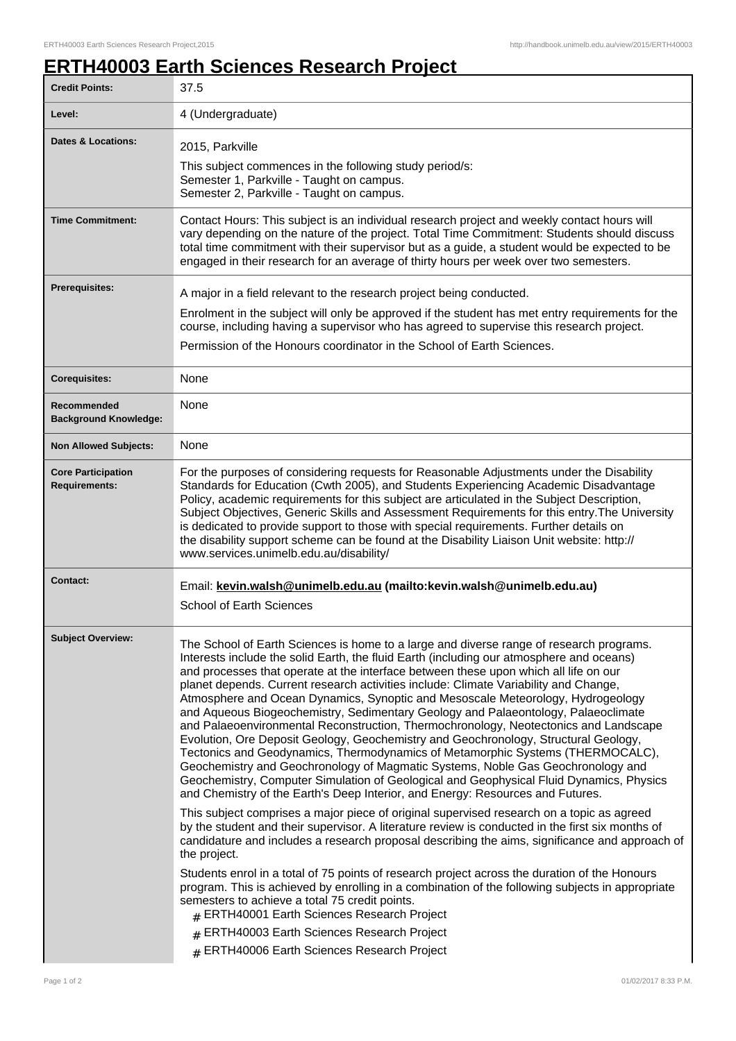## **ERTH40003 Earth Sciences Research Project**

| <b>Credit Points:</b>                             | 37.5                                                                                                                                                                                                                                                                                                                                                                                                                                                                                                                                                                                                                                                                                                                                                                                                                                                                                                                                                                                                                                                                                                                                                                      |
|---------------------------------------------------|---------------------------------------------------------------------------------------------------------------------------------------------------------------------------------------------------------------------------------------------------------------------------------------------------------------------------------------------------------------------------------------------------------------------------------------------------------------------------------------------------------------------------------------------------------------------------------------------------------------------------------------------------------------------------------------------------------------------------------------------------------------------------------------------------------------------------------------------------------------------------------------------------------------------------------------------------------------------------------------------------------------------------------------------------------------------------------------------------------------------------------------------------------------------------|
| Level:                                            | 4 (Undergraduate)                                                                                                                                                                                                                                                                                                                                                                                                                                                                                                                                                                                                                                                                                                                                                                                                                                                                                                                                                                                                                                                                                                                                                         |
| Dates & Locations:                                | 2015, Parkville<br>This subject commences in the following study period/s:<br>Semester 1, Parkville - Taught on campus.<br>Semester 2, Parkville - Taught on campus.                                                                                                                                                                                                                                                                                                                                                                                                                                                                                                                                                                                                                                                                                                                                                                                                                                                                                                                                                                                                      |
| <b>Time Commitment:</b>                           | Contact Hours: This subject is an individual research project and weekly contact hours will<br>vary depending on the nature of the project. Total Time Commitment: Students should discuss<br>total time commitment with their supervisor but as a guide, a student would be expected to be<br>engaged in their research for an average of thirty hours per week over two semesters.                                                                                                                                                                                                                                                                                                                                                                                                                                                                                                                                                                                                                                                                                                                                                                                      |
| <b>Prerequisites:</b>                             | A major in a field relevant to the research project being conducted.<br>Enrolment in the subject will only be approved if the student has met entry requirements for the<br>course, including having a supervisor who has agreed to supervise this research project.<br>Permission of the Honours coordinator in the School of Earth Sciences.                                                                                                                                                                                                                                                                                                                                                                                                                                                                                                                                                                                                                                                                                                                                                                                                                            |
| <b>Corequisites:</b>                              | None                                                                                                                                                                                                                                                                                                                                                                                                                                                                                                                                                                                                                                                                                                                                                                                                                                                                                                                                                                                                                                                                                                                                                                      |
| Recommended<br><b>Background Knowledge:</b>       | None                                                                                                                                                                                                                                                                                                                                                                                                                                                                                                                                                                                                                                                                                                                                                                                                                                                                                                                                                                                                                                                                                                                                                                      |
| <b>Non Allowed Subjects:</b>                      | None                                                                                                                                                                                                                                                                                                                                                                                                                                                                                                                                                                                                                                                                                                                                                                                                                                                                                                                                                                                                                                                                                                                                                                      |
| <b>Core Participation</b><br><b>Requirements:</b> | For the purposes of considering requests for Reasonable Adjustments under the Disability<br>Standards for Education (Cwth 2005), and Students Experiencing Academic Disadvantage<br>Policy, academic requirements for this subject are articulated in the Subject Description,<br>Subject Objectives, Generic Skills and Assessment Requirements for this entry. The University<br>is dedicated to provide support to those with special requirements. Further details on<br>the disability support scheme can be found at the Disability Liaison Unit website: http://<br>www.services.unimelb.edu.au/disability/                                                                                                                                                                                                                                                                                                                                                                                                                                                                                                                                                        |
| <b>Contact:</b>                                   | Email: kevin.walsh@unimelb.edu.au (mailto:kevin.walsh@unimelb.edu.au)<br>School of Earth Sciences                                                                                                                                                                                                                                                                                                                                                                                                                                                                                                                                                                                                                                                                                                                                                                                                                                                                                                                                                                                                                                                                         |
| <b>Subject Overview:</b>                          | The School of Earth Sciences is home to a large and diverse range of research programs.<br>Interests include the solid Earth, the fluid Earth (including our atmosphere and oceans)<br>and processes that operate at the interface between these upon which all life on our<br>planet depends. Current research activities include: Climate Variability and Change,<br>Atmosphere and Ocean Dynamics, Synoptic and Mesoscale Meteorology, Hydrogeology<br>and Aqueous Biogeochemistry, Sedimentary Geology and Palaeontology, Palaeoclimate<br>and Palaeoenvironmental Reconstruction, Thermochronology, Neotectonics and Landscape<br>Evolution, Ore Deposit Geology, Geochemistry and Geochronology, Structural Geology,<br>Tectonics and Geodynamics, Thermodynamics of Metamorphic Systems (THERMOCALC),<br>Geochemistry and Geochronology of Magmatic Systems, Noble Gas Geochronology and<br>Geochemistry, Computer Simulation of Geological and Geophysical Fluid Dynamics, Physics<br>and Chemistry of the Earth's Deep Interior, and Energy: Resources and Futures.<br>This subject comprises a major piece of original supervised research on a topic as agreed |
|                                                   | by the student and their supervisor. A literature review is conducted in the first six months of<br>candidature and includes a research proposal describing the aims, significance and approach of<br>the project.                                                                                                                                                                                                                                                                                                                                                                                                                                                                                                                                                                                                                                                                                                                                                                                                                                                                                                                                                        |
|                                                   | Students enrol in a total of 75 points of research project across the duration of the Honours<br>program. This is achieved by enrolling in a combination of the following subjects in appropriate<br>semesters to achieve a total 75 credit points.<br># ERTH40001 Earth Sciences Research Project<br># ERTH40003 Earth Sciences Research Project<br># ERTH40006 Earth Sciences Research Project                                                                                                                                                                                                                                                                                                                                                                                                                                                                                                                                                                                                                                                                                                                                                                          |